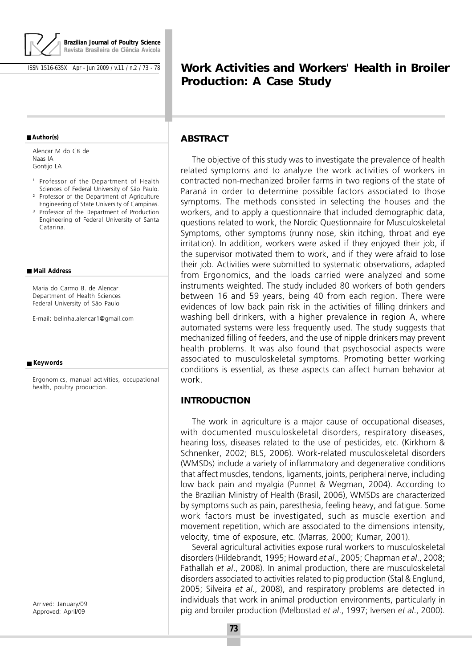

**Brazilian Journal of Poultry Science Revista Brasileira de Ciência Avícola**

ISSN 1516-635X Apr - Jun 2009 / v.11 / n.2 / 73 - 78

# **Work Activities and Workers' Health in Broiler Production: A Case Study**

### **Author(s)**

Alencar M do CB de Naas IA Gontijo LA

<sup>1</sup> Professor of the Department of Health Sciences of Federal University of São Paulo.

² Professor of the Department of Agriculture Engineering of State University of Campinas.

<sup>3</sup> Professor of the Department of Production Engineering of Federal University of Santa Catarina.

### **Mail Address**

Maria do Carmo B. de Alencar Department of Health Sciences Federal University of São Paulo

E-mail: belinha.alencar1@gmail.com

### **Keywords**

Ergonomics, manual activities, occupational health, poultry production.

Arrived: January/09 Approved: April/09

# **ABSTRACT**

The objective of this study was to investigate the prevalence of health related symptoms and to analyze the work activities of workers in contracted non-mechanized broiler farms in two regions of the state of Paraná in order to determine possible factors associated to those symptoms. The methods consisted in selecting the houses and the workers, and to apply a questionnaire that included demographic data, questions related to work, the Nordic Questionnaire for Musculoskeletal Symptoms, other symptoms (runny nose, skin itching, throat and eye irritation). In addition, workers were asked if they enjoyed their job, if the supervisor motivated them to work, and if they were afraid to lose their job. Activities were submitted to systematic observations, adapted from Ergonomics, and the loads carried were analyzed and some instruments weighted. The study included 80 workers of both genders between 16 and 59 years, being 40 from each region. There were evidences of low back pain risk in the activities of filling drinkers and washing bell drinkers, with a higher prevalence in region A, where automated systems were less frequently used. The study suggests that mechanized filling of feeders, and the use of nipple drinkers may prevent health problems. It was also found that psychosocial aspects were associated to musculoskeletal symptoms. Promoting better working conditions is essential, as these aspects can affect human behavior at work.

### **INTRODUCTION**

The work in agriculture is a major cause of occupational diseases, with documented musculoskeletal disorders, respiratory diseases, hearing loss, diseases related to the use of pesticides, etc. (Kirkhorn & Schnenker, 2002; BLS, 2006). Work-related musculoskeletal disorders (WMSDs) include a variety of inflammatory and degenerative conditions that affect muscles, tendons, ligaments, joints, peripheral nerve, including low back pain and myalgia (Punnet & Wegman, 2004). According to the Brazilian Ministry of Health (Brasil, 2006), WMSDs are characterized by symptoms such as pain, paresthesia, feeling heavy, and fatigue. Some work factors must be investigated, such as muscle exertion and movement repetition, which are associated to the dimensions intensity, velocity, time of exposure, etc. (Marras, 2000; Kumar, 2001).

Several agricultural activities expose rural workers to musculoskeletal disorders (Hildebrandt, 1995; Howard et al., 2005; Chapman et al., 2008; Fathallah et al., 2008). In animal production, there are musculoskeletal disorders associated to activities related to pig production (Stal & Englund, 2005; Silveira et al., 2008), and respiratory problems are detected in individuals that work in animal production environments, particularly in pig and broiler production (Melbostad et al., 1997; Iversen et al., 2000).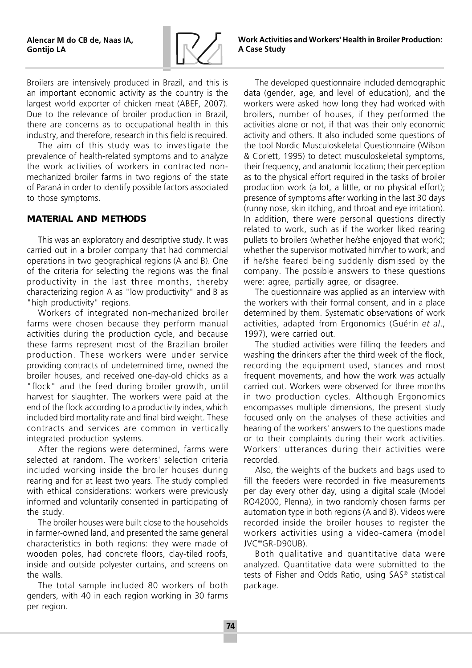

Broilers are intensively produced in Brazil, and this is an important economic activity as the country is the largest world exporter of chicken meat (ABEF, 2007). Due to the relevance of broiler production in Brazil, there are concerns as to occupational health in this industry, and therefore, research in this field is required.

The aim of this study was to investigate the prevalence of health-related symptoms and to analyze the work activities of workers in contracted nonmechanized broiler farms in two regions of the state of Paraná in order to identify possible factors associated to those symptoms.

# **MATERIAL AND METHODS**

This was an exploratory and descriptive study. It was carried out in a broiler company that had commercial operations in two geographical regions (A and B). One of the criteria for selecting the regions was the final productivity in the last three months, thereby characterizing region A as "low productivity" and B as "high productivity" regions.

Workers of integrated non-mechanized broiler farms were chosen because they perform manual activities during the production cycle, and because these farms represent most of the Brazilian broiler production. These workers were under service providing contracts of undetermined time, owned the broiler houses, and received one-day-old chicks as a "flock" and the feed during broiler growth, until harvest for slaughter. The workers were paid at the end of the flock according to a productivity index, which included bird mortality rate and final bird weight. These contracts and services are common in vertically integrated production systems.

After the regions were determined, farms were selected at random. The workers' selection criteria included working inside the broiler houses during rearing and for at least two years. The study complied with ethical considerations: workers were previously informed and voluntarily consented in participating of the study.

The broiler houses were built close to the households in farmer-owned land, and presented the same general characteristics in both regions: they were made of wooden poles, had concrete floors, clay-tiled roofs, inside and outside polyester curtains, and screens on the walls.

The total sample included 80 workers of both genders, with 40 in each region working in 30 farms per region.

The developed questionnaire included demographic data (gender, age, and level of education), and the workers were asked how long they had worked with broilers, number of houses, if they performed the activities alone or not, if that was their only economic activity and others. It also included some questions of the tool Nordic Musculoskeletal Questionnaire (Wilson & Corlett, 1995) to detect musculoskeletal symptoms, their frequency, and anatomic location; their perception as to the physical effort required in the tasks of broiler production work (a lot, a little, or no physical effort); presence of symptoms after working in the last 30 days (runny nose, skin itching, and throat and eye irritation). In addition, there were personal questions directly related to work, such as if the worker liked rearing pullets to broilers (whether he/she enjoyed that work); whether the supervisor motivated him/her to work; and if he/she feared being suddenly dismissed by the company. The possible answers to these questions were: agree, partially agree, or disagree.

The questionnaire was applied as an interview with the workers with their formal consent, and in a place determined by them. Systematic observations of work activities, adapted from Ergonomics (Guérin et al., 1997), were carried out.

The studied activities were filling the feeders and washing the drinkers after the third week of the flock, recording the equipment used, stances and most frequent movements, and how the work was actually carried out. Workers were observed for three months in two production cycles. Although Ergonomics encompasses multiple dimensions, the present study focused only on the analyses of these activities and hearing of the workers' answers to the questions made or to their complaints during their work activities. Workers' utterances during their activities were recorded.

Also, the weights of the buckets and bags used to fill the feeders were recorded in five measurements per day every other day, using a digital scale (Model RO42000, Plenna), in two randomly chosen farms per automation type in both regions (A and B). Videos were recorded inside the broiler houses to register the workers activities using a video-camera (model JVC®GR-D90UB).

Both qualitative and quantitative data were analyzed. Quantitative data were submitted to the tests of Fisher and Odds Ratio, using SAS® statistical package.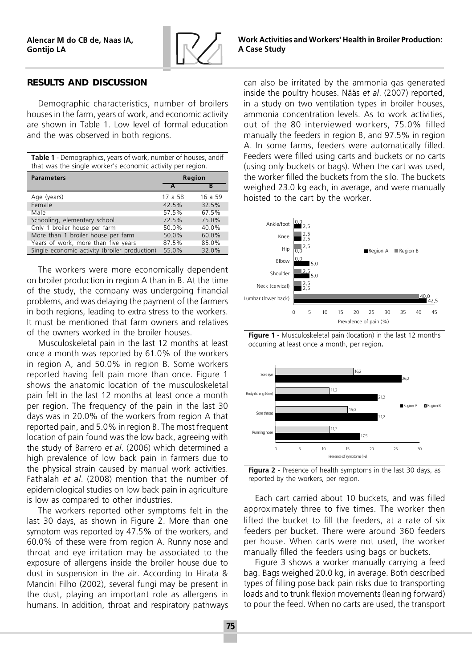

# **RESULTS AND DISCUSSION**

Demographic characteristics, number of broilers houses in the farm, years of work, and economic activity are shown in Table 1. Low level of formal education and the was observed in both regions.

| Table 1 - Demographics, years of work, number of houses, andif |  |
|----------------------------------------------------------------|--|
| that was the single worker's economic activity per region.     |  |

| <b>Parameters</b>                             | Region  |       |
|-----------------------------------------------|---------|-------|
|                                               |         |       |
| Age (years)                                   | 17 a 58 | 16a59 |
| Female                                        | 42.5%   | 32.5% |
| Male                                          | 57.5%   | 67.5% |
| Schooling, elementary school                  | 72.5%   | 75.0% |
| Only 1 broiler house per farm                 | 50.0%   | 40.0% |
| More than 1 broiler house per farm            | 50.0%   | 60.0% |
| Years of work, more than five years           | 87.5%   | 85.0% |
| Single economic activity (broiler production) | 55.0%   | 32.0% |

The workers were more economically dependent on broiler production in region A than in B. At the time of the study, the company was undergoing financial problems, and was delaying the payment of the farmers in both regions, leading to extra stress to the workers. It must be mentioned that farm owners and relatives of the owners worked in the broiler houses.

Musculoskeletal pain in the last 12 months at least once a month was reported by 61.0% of the workers in region A, and 50.0% in region B. Some workers reported having felt pain more than once. Figure 1 shows the anatomic location of the musculoskeletal pain felt in the last 12 months at least once a month per region. The frequency of the pain in the last 30 days was in 20.0% of the workers from region A that reported pain, and 5.0% in region B. The most frequent location of pain found was the low back, agreeing with the study of Barrero et al. (2006) which determined a high prevalence of low back pain in farmers due to the physical strain caused by manual work activities. Fathalah et al. (2008) mention that the number of epidemiological studies on low back pain in agriculture is low as compared to other industries.

The workers reported other symptoms felt in the last 30 days, as shown in Figure 2. More than one symptom was reported by 47.5% of the workers, and 60.0% of these were from region A. Runny nose and throat and eye irritation may be associated to the exposure of allergens inside the broiler house due to dust in suspension in the air. According to Hirata & Mancini Filho (2002), several fungi may be present in the dust, playing an important role as allergens in humans. In addition, throat and respiratory pathways can also be irritated by the ammonia gas generated inside the poultry houses. Nääs et al. (2007) reported, in a study on two ventilation types in broiler houses, ammonia concentration levels. As to work activities, out of the 80 interviewed workers, 75.0% filled manually the feeders in region B, and 97.5% in region A. In some farms, feeders were automatically filled. Feeders were filled using carts and buckets or no carts (using only buckets or bags). When the cart was used, the worker filled the buckets from the silo. The buckets weighed 23.0 kg each, in average, and were manually hoisted to the cart by the worker.



Figure 1 - Musculoskeletal pain (location) in the last 12 months occurring at least once a month, per region.



**Figura 2** - Presence of health symptoms in the last 30 days, as reported by the workers, per region.

Each cart carried about 10 buckets, and was filled approximately three to five times. The worker then lifted the bucket to fill the feeders, at a rate of six feeders per bucket. There were around 360 feeders per house. When carts were not used, the worker manually filled the feeders using bags or buckets.

Figure 3 shows a worker manually carrying a feed bag. Bags weighed 20.0 kg, in average. Both described types of filling pose back pain risks due to transporting loads and to trunk flexion movements (leaning forward) to pour the feed. When no carts are used, the transport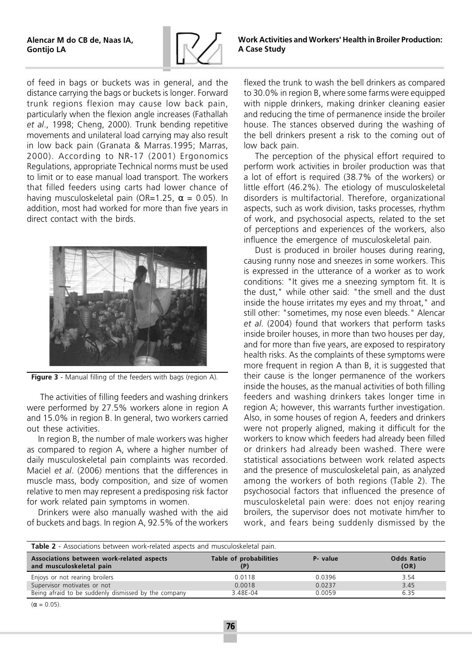

of feed in bags or buckets was in general, and the distance carrying the bags or buckets is longer. Forward trunk regions flexion may cause low back pain, particularly when the flexion angle increases (Fathallah et al., 1998; Cheng, 2000). Trunk bending repetitive movements and unilateral load carrying may also result in low back pain (Granata & Marras.1995; Marras, 2000). According to NR-17 (2001) Ergonomics Regulations, appropriate Technical norms must be used to limit or to ease manual load transport. The workers that filled feeders using carts had lower chance of having musculoskeletal pain (OR=1.25,  $\alpha$  = 0.05). In addition, most had worked for more than five years in direct contact with the birds.



Figure 3 - Manual filling of the feeders with bags (region A).

 The activities of filling feeders and washing drinkers were performed by 27.5% workers alone in region A and 15.0% in region B. In general, two workers carried out these activities.

In region B, the number of male workers was higher as compared to region A, where a higher number of daily musculoskeletal pain complaints was recorded. Maciel et al. (2006) mentions that the differences in muscle mass, body composition, and size of women relative to men may represent a predisposing risk factor for work related pain symptoms in women.

Drinkers were also manually washed with the aid of buckets and bags. In region A, 92.5% of the workers

flexed the trunk to wash the bell drinkers as compared to 30.0% in region B, where some farms were equipped with nipple drinkers, making drinker cleaning easier and reducing the time of permanence inside the broiler house. The stances observed during the washing of the bell drinkers present a risk to the coming out of low back pain.

The perception of the physical effort required to perform work activities in broiler production was that a lot of effort is required (38.7% of the workers) or little effort (46.2%). The etiology of musculoskeletal disorders is multifactorial. Therefore, organizational aspects, such as work division, tasks processes, rhythm of work, and psychosocial aspects, related to the set of perceptions and experiences of the workers, also influence the emergence of musculoskeletal pain.

Dust is produced in broiler houses during rearing, causing runny nose and sneezes in some workers. This is expressed in the utterance of a worker as to work conditions: "It gives me a sneezing symptom fit. It is the dust," while other said: "the smell and the dust inside the house irritates my eyes and my throat," and still other: "sometimes, my nose even bleeds." Alencar et al. (2004) found that workers that perform tasks inside broiler houses, in more than two houses per day, and for more than five years, are exposed to respiratory health risks. As the complaints of these symptoms were more frequent in region A than B, it is suggested that their cause is the longer permanence of the workers inside the houses, as the manual activities of both filling feeders and washing drinkers takes longer time in region A; however, this warrants further investigation. Also, in some houses of region A, feeders and drinkers were not properly aligned, making it difficult for the workers to know which feeders had already been filled or drinkers had already been washed. There were statistical associations between work related aspects and the presence of musculoskeletal pain, as analyzed among the workers of both regions (Table 2). The psychosocial factors that influenced the presence of musculoskeletal pain were: does not enjoy rearing broilers, the supervisor does not motivate him/her to work, and fears being suddenly dismissed by the

| <b>Table 2</b> - Associations between work-related aspects and musculoskeletal pain. |                               |          |                           |  |
|--------------------------------------------------------------------------------------|-------------------------------|----------|---------------------------|--|
| Associations between work-related aspects<br>and musculoskeletal pain                | Table of probabilities<br>(P) | P- value | <b>Odds Ratio</b><br>(OR) |  |
| Enjoys or not rearing broilers                                                       | 0.0118                        | 0.0396   | 3.54                      |  |
| Supervisor motivates or not                                                          | 0.0018                        | 0.0237   | 3.45                      |  |
| Being afraid to be suddenly dismissed by the company                                 | 3.48E-04                      | 0.0059   | 6.35                      |  |

 $(\alpha = 0.05)$ .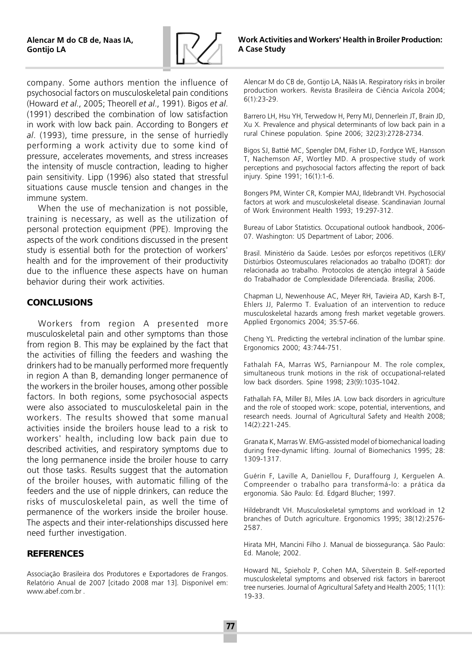

company. Some authors mention the influence of psychosocial factors on musculoskeletal pain conditions (Howard et al., 2005; Theorell et al., 1991). Bigos et al. (1991) described the combination of low satisfaction in work with low back pain. According to Bongers et al. (1993), time pressure, in the sense of hurriedly performing a work activity due to some kind of pressure, accelerates movements, and stress increases the intensity of muscle contraction, leading to higher pain sensitivity. Lipp (1996) also stated that stressful situations cause muscle tension and changes in the immune system.

When the use of mechanization is not possible, training is necessary, as well as the utilization of personal protection equipment (PPE). Improving the aspects of the work conditions discussed in the present study is essential both for the protection of workers' health and for the improvement of their productivity due to the influence these aspects have on human behavior during their work activities.

# **CONCLUSIONS**

Workers from region A presented more musculoskeletal pain and other symptoms than those from region B. This may be explained by the fact that the activities of filling the feeders and washing the drinkers had to be manually performed more frequently in region A than B, demanding longer permanence of the workers in the broiler houses, among other possible factors. In both regions, some psychosocial aspects were also associated to musculoskeletal pain in the workers. The results showed that some manual activities inside the broilers house lead to a risk to workers' health, including low back pain due to described activities, and respiratory symptoms due to the long permanence inside the broiler house to carry out those tasks. Results suggest that the automation of the broiler houses, with automatic filling of the feeders and the use of nipple drinkers, can reduce the risks of musculoskeletal pain, as well the time of permanence of the workers inside the broiler house. The aspects and their inter-relationships discussed here need further investigation.

# **REFERENCES**

Associação Brasileira dos Produtores e Exportadores de Frangos. Relatório Anual de 2007 [citado 2008 mar 13]. Disponível em: www.abef.com.br .

Alencar M do CB de, Gontijo LA, Nääs IA. Respiratory risks in broiler production workers. Revista Brasileira de Ciência Avícola 2004; 6(1):23-29.

Barrero LH, Hsu YH, Terwedow H, Perry MJ, Dennerlein JT, Brain JD, Xu X. Prevalence and physical determinants of low back pain in a rural Chinese population. Spine 2006; 32(23):2728-2734.

Bigos SJ, Battié MC, Spengler DM, Fisher LD, Fordyce WE, Hansson T, Nachemson AF, Wortley MD. A prospective study of work perceptions and psychosocial factors affecting the report of back injury. Spine 1991; 16(1):1-6.

Bongers PM, Winter CR, Kompier MAJ, Ildebrandt VH. Psychosocial factors at work and musculoskeletal disease. Scandinavian Journal of Work Environment Health 1993; 19:297-312.

Bureau of Labor Statistics. Occupational outlook handbook, 2006- 07. Washington: US Department of Labor; 2006.

Brasil. Ministério da Saúde. Lesões por esforços repetitivos (LER)/ Distúrbios Osteomusculares relacionados ao trabalho (DORT): dor relacionada ao trabalho. Protocolos de atenção integral à Saúde do Trabalhador de Complexidade Diferenciada. Brasília; 2006.

Chapman LJ, Newenhouse AC, Meyer RH, Tavieira AD, Karsh B-T, Ehlers JJ, Palermo T. Evaluation of an intervention to reduce musculoskeletal hazards among fresh market vegetable growers. Applied Ergonomics 2004; 35:57-66.

Cheng YL. Predicting the vertebral inclination of the lumbar spine. Ergonomics 2000; 43:744-751.

Fathalah FA, Marras WS, Parnianpour M. The role complex, simultaneous trunk motions in the risk of occupational-related low back disorders. Spine 1998; 23(9):1035-1042.

Fathallah FA, Miller BJ, Miles JA. Low back disorders in agriculture and the role of stooped work: scope, potential, interventions, and research needs. Journal of Agricultural Safety and Health 2008; 14(2):221-245.

Granata K, Marras W. EMG-assisted model of biomechanical loading during free-dynamic lifting. Journal of Biomechanics 1995; 28: 1309-1317.

Guérin F, Laville A, Daniellou F, Duraffourg J, Kerguelen A. Compreender o trabalho para transformá-lo: a prática da ergonomia. São Paulo: Ed. Edgard Blucher; 1997.

Hildebrandt VH. Musculoskeletal symptoms and workload in 12 branches of Dutch agriculture. Ergonomics 1995; 38(12):2576- 2587.

Hirata MH, Mancini Filho J. Manual de biossegurança. São Paulo: Ed. Manole; 2002.

Howard NL, Spieholz P, Cohen MA, Silverstein B. Self-reported musculoskeletal symptoms and observed risk factors in bareroot tree nurseries. Journal of Agricultural Safety and Health 2005; 11(1): 19-33.